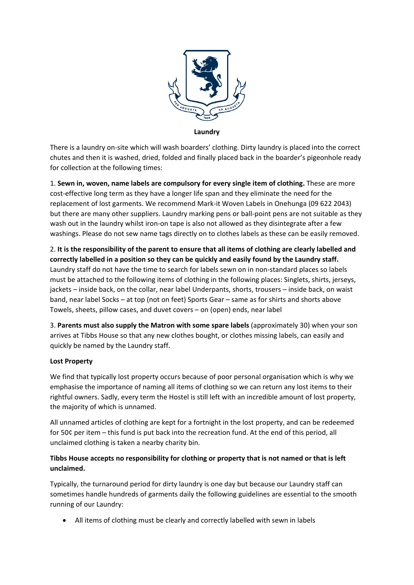

**Laundry**

There is a laundry on-site which will wash boarders' clothing. Dirty laundry is placed into the correct chutes and then it is washed, dried, folded and finally placed back in the boarder's pigeonhole ready for collection at the following times:

1. **Sewn in, woven, name labels are compulsory for every single item of clothing.** These are more cost-effective long term as they have a longer life span and they eliminate the need for the replacement of lost garments. We recommend Mark-it Woven Labels in Onehunga (09 622 2043) but there are many other suppliers. Laundry marking pens or ball-point pens are not suitable as they wash out in the laundry whilst iron-on tape is also not allowed as they disintegrate after a few washings. Please do not sew name tags directly on to clothes labels as these can be easily removed.

2. **It is the responsibility of the parent to ensure that all items of clothing are clearly labelled and correctly labelled in a position so they can be quickly and easily found by the Laundry staff.** Laundry staff do not have the time to search for labels sewn on in non-standard places so labels must be attached to the following items of clothing in the following places: Singlets, shirts, jerseys, jackets – inside back, on the collar, near label Underpants, shorts, trousers – inside back, on waist band, near label Socks – at top (not on feet) Sports Gear – same as for shirts and shorts above Towels, sheets, pillow cases, and duvet covers – on (open) ends, near label

3. **Parents must also supply the Matron with some spare labels** (approximately 30) when your son arrives at Tibbs House so that any new clothes bought, or clothes missing labels, can easily and quickly be named by the Laundry staff.

### **Lost Property**

We find that typically lost property occurs because of poor personal organisation which is why we emphasise the importance of naming all items of clothing so we can return any lost items to their rightful owners. Sadly, every term the Hostel is still left with an incredible amount of lost property, the majority of which is unnamed.

All unnamed articles of clothing are kept for a fortnight in the lost property, and can be redeemed for 50¢ per item – this fund is put back into the recreation fund. At the end of this period, all unclaimed clothing is taken a nearby charity bin.

# **Tibbs House accepts no responsibility for clothing or property that is not named or that is left unclaimed.**

Typically, the turnaround period for dirty laundry is one day but because our Laundry staff can sometimes handle hundreds of garments daily the following guidelines are essential to the smooth running of our Laundry:

• All items of clothing must be clearly and correctly labelled with sewn in labels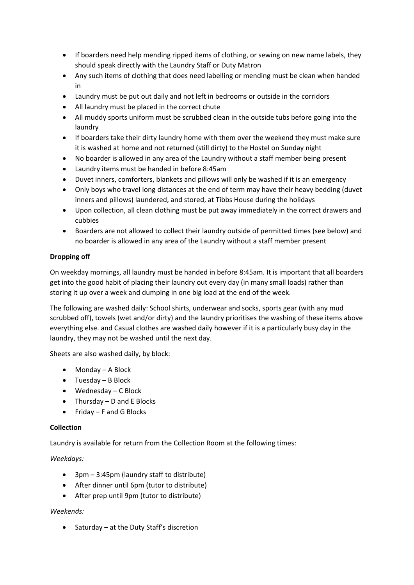- If boarders need help mending ripped items of clothing, or sewing on new name labels, they should speak directly with the Laundry Staff or Duty Matron
- Any such items of clothing that does need labelling or mending must be clean when handed in
- Laundry must be put out daily and not left in bedrooms or outside in the corridors
- All laundry must be placed in the correct chute
- All muddy sports uniform must be scrubbed clean in the outside tubs before going into the laundry
- If boarders take their dirty laundry home with them over the weekend they must make sure it is washed at home and not returned (still dirty) to the Hostel on Sunday night
- No boarder is allowed in any area of the Laundry without a staff member being present
- Laundry items must be handed in before 8:45am
- Duvet inners, comforters, blankets and pillows will only be washed if it is an emergency
- Only boys who travel long distances at the end of term may have their heavy bedding (duvet inners and pillows) laundered, and stored, at Tibbs House during the holidays
- Upon collection, all clean clothing must be put away immediately in the correct drawers and cubbies
- Boarders are not allowed to collect their laundry outside of permitted times (see below) and no boarder is allowed in any area of the Laundry without a staff member present

# **Dropping off**

On weekday mornings, all laundry must be handed in before 8:45am. It is important that all boarders get into the good habit of placing their laundry out every day (in many small loads) rather than storing it up over a week and dumping in one big load at the end of the week.

The following are washed daily: School shirts, underwear and socks, sports gear (with any mud scrubbed off), towels (wet and/or dirty) and the laundry prioritises the washing of these items above everything else. and Casual clothes are washed daily however if it is a particularly busy day in the laundry, they may not be washed until the next day.

Sheets are also washed daily, by block:

- Monday A Block
- Tuesday B Block
- Wednesday C Block
- $\bullet$  Thursday D and E Blocks
- Friday F and G Blocks

### **Collection**

Laundry is available for return from the Collection Room at the following times:

*Weekdays:*

- 3pm 3:45pm (laundry staff to distribute)
- After dinner until 6pm (tutor to distribute)
- After prep until 9pm (tutor to distribute)

### *Weekends:*

• Saturday – at the Duty Staff's discretion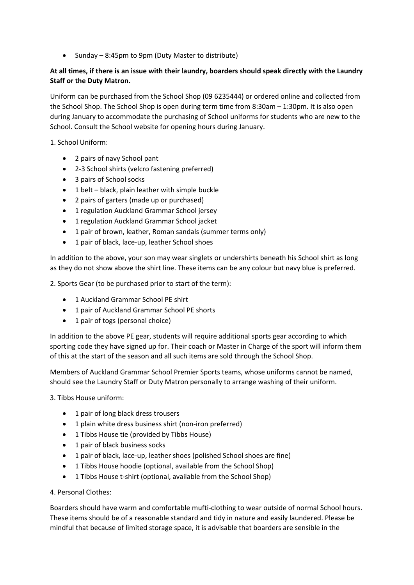• Sunday – 8:45pm to 9pm (Duty Master to distribute)

# **At all times, if there is an issue with their laundry, boarders should speak directly with the Laundry Staff or the Duty Matron.**

Uniform can be purchased from the School Shop (09 6235444) or ordered online and collected from the School Shop. The School Shop is open during term time from 8:30am – 1:30pm. It is also open during January to accommodate the purchasing of School uniforms for students who are new to the School. Consult the School website for opening hours during January.

1. School Uniform:

- 2 pairs of navy School pant
- 2-3 School shirts (velcro fastening preferred)
- 3 pairs of School socks
- 1 belt black, plain leather with simple buckle
- 2 pairs of garters (made up or purchased)
- 1 regulation Auckland Grammar School jersey
- 1 regulation Auckland Grammar School jacket
- 1 pair of brown, leather, Roman sandals (summer terms only)
- 1 pair of black, lace-up, leather School shoes

In addition to the above, your son may wear singlets or undershirts beneath his School shirt as long as they do not show above the shirt line. These items can be any colour but navy blue is preferred.

2. Sports Gear (to be purchased prior to start of the term):

- 1 Auckland Grammar School PE shirt
- 1 pair of Auckland Grammar School PE shorts
- 1 pair of togs (personal choice)

In addition to the above PE gear, students will require additional sports gear according to which sporting code they have signed up for. Their coach or Master in Charge of the sport will inform them of this at the start of the season and all such items are sold through the School Shop.

Members of Auckland Grammar School Premier Sports teams, whose uniforms cannot be named, should see the Laundry Staff or Duty Matron personally to arrange washing of their uniform.

3. Tibbs House uniform:

- 1 pair of long black dress trousers
- 1 plain white dress business shirt (non-iron preferred)
- 1 Tibbs House tie (provided by Tibbs House)
- 1 pair of black business socks
- 1 pair of black, lace-up, leather shoes (polished School shoes are fine)
- 1 Tibbs House hoodie (optional, available from the School Shop)
- 1 Tibbs House t-shirt (optional, available from the School Shop)

4. Personal Clothes:

Boarders should have warm and comfortable mufti-clothing to wear outside of normal School hours. These items should be of a reasonable standard and tidy in nature and easily laundered. Please be mindful that because of limited storage space, it is advisable that boarders are sensible in the